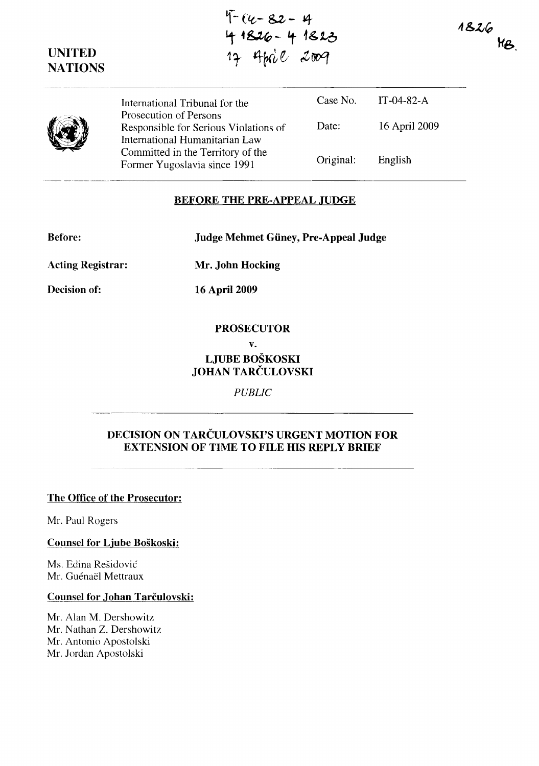~-- **ftt- &z - J4**  ~ .~- **'t 1&16 <sup>11</sup>'** *4rcu* ~ *tooq* 

1826  $M_{\beta}$ 



**UNITED NATIONS** 

> International Tribunal for the Prosecution of Persons Responsible for Serious Violations of International Humanitarian Law Committed in the Territory of the Former Yugoslavia since 1991 Case No. Date: Original: IT-04-82-A 16 April 2009 English

## **BEFORE THE PRE-APPEAL JUDGE**

**Before: Judge Mehmet Giiney, Pre-Appeal Judge** 

**Acting Registrar:** 

**Decision of:** 

**Mr. John Hocking** 

**16** April 2009

#### **PROSECUTOR**

**v.** 

# **LJUBE BOŠKOSKI JOHAN** TARČULOVSKI

*PUBLIC* 

# **DECISION ON** TARČULOVSKI'S **URGENT MOTION FOR EXTENSION OF TIME TO FILE HIS REPLY BRIEF**

### **The Office of the Prosecutor:**

Mr. Paul Rogers

#### **Counsel for Ljube Boškoski:**

Ms. Edina Rešidović Mr. Guénaël Mettraux

## **Counsel for .Johan** Tarčulovski:

Mr. Alan M. Dershowitz Mr. Nathan Z. Dershowitz Mr. Antonio Apostolski Mr. Jordan Apostolski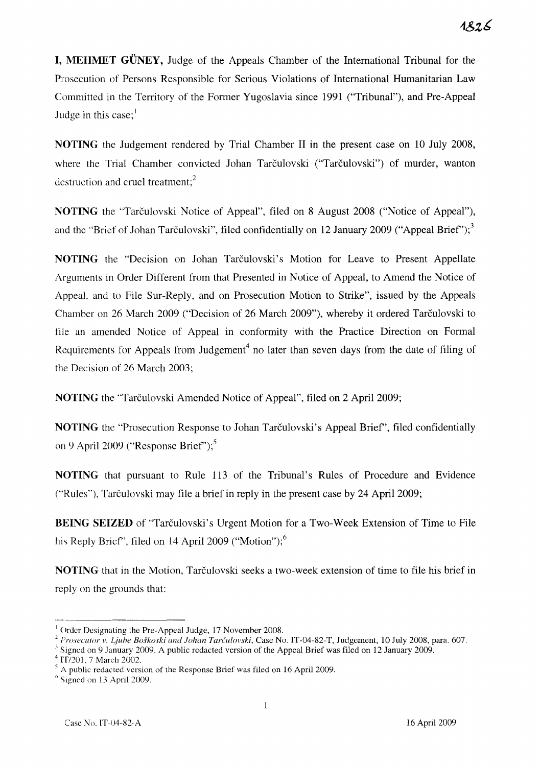**I, MEHMET GÜNEY, Judge of the Appeals Chamber of the International Tribunal for the** Prosecution of Persons Responsible for Serious Violations of International Humanitarian Law Committed in the Territory of the Former Yugoslavia since 1991 ("Tribunal"), and Pre-Appeal Judge in this case; $\frac{1}{1}$ 

**NOTING** the Judgement rendered by Trial Chamber II in the present case on 10 July 2008, where the Trial Chamber convicted Johan Tarčulovski ("Tarčulovski") of murder, wanton destruction and cruel treatment; $<sup>2</sup>$ </sup>

**NOTING** the "Tarčulovski Notice of Appeal", filed on 8 August 2008 ("Notice of Appeal"), and the "Brief of Johan Tarčulovski", filed confidentially on 12 January 2009 ("Appeal Brief");<sup>3</sup>

**NOTING** the "Decision on lohan Tarčulovski's Motion for Leave to Present Appellate Arguments in Order Different from that Presented in Notice of Appeal, to Amend the Notice of AppeaL and to File Sur-Reply, and on Prosecution Motion to Strike", issued by the Appeals Chamber on 26 March 2009 ("Decision of 26 March 2009"), whereby it ordered Tarčulovski to file an amended Notice of Appeal in conformity with the Practice Direction on Formal Requirements for Appeals from Judgement<sup>4</sup> no later than seven days from the date of filing of the Decision of 26 March 2003;

**NOTING** the "Tarčulovski Amended Notice of Appeal", filed on 2 April 2009;

**NOTING** the "Prosecution Response to Johan Tarčulovski's Appeal Brief', filed confidentially on 9 April 2009 ("Response Brief");<sup>5</sup>

**NOTING** that pursuant to Rule 113 of the Tribunal's Rules of Procedure and Evidence ("'Rules"), Tarčulovski may file a brief in reply in the present case by 24 April 2009;

**BEING SEIZED** of "Tarčulovski's Urgent Motion for a Two-Week Extension of Time to File his Reply Brief", filed on 14 April 2009 ("Motion");<sup>6</sup>

**NOTING** that in the Motion, Tarčulovski seeks a two-week extension of time to file his brief in reply on the grounds that:

 $\overline{1}$  Order Designating the Pre-Appeal Judge, 17 November 2008.

<sup>&</sup>lt;sup>2</sup> Prosecutor v. Ljube Boškoski and Johan Tarčulovski, Case No. IT-04-82-T, Judgement, 10 July 2008, para. 607.

 $3$  Signed on 9 January 2009. A public redacted version of the Appeal Brief was filed on 12 January 2009.  $4$  IT/201, 7 March 2002.

A public redacted version of the Response Brief was filed on 16 April 2009.

 $<sup>6</sup>$  Signed on 13 April 2009.</sup>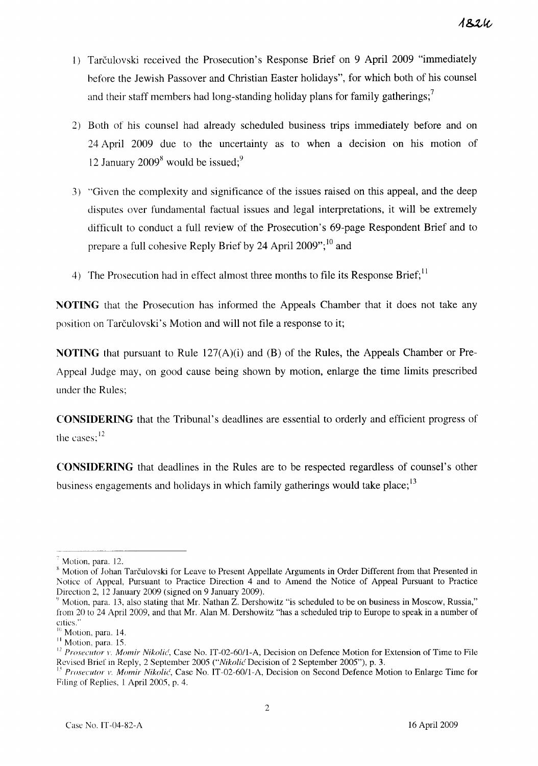- l) Tarčulovski received the Prosecution's Response Brief on 9 April 2009 "immediately hefore the Jewish Passover and Christian Easter holidays", for which both of his counsel and their staff members had long-standing holiday plans for family gatherings;<sup>7</sup>
- 2) Both of his counsel had already scheduled business trips immediately before and on 24 April 2009 due to the uncertainty as to when a decision on his motion of 12 January  $2009<sup>8</sup>$  would be issued;<sup>9</sup>
- 3) "'Given the complexity and significance of the issues raised on this appeal, and the deep disputes over fundamental factual issues and legal interpretations, it will be extremely difficult to conduct a full review of the Prosecution's 69-page Respondent Brief and to prepare a full cohesive Reply Brief by 24 April 2009";<sup>10</sup> and
- 4) The Prosecution had in effect almost three months to file its Response Brief;<sup>11</sup>

**NOTING** that the Prosecution has informed the Appeals Chamber that it does not take any position on Tarčulovski's Motion and will not file a response to it;

**NOTING** that pursuant to Rule 127(A)(i) and (B) of the Rules, the Appeals Chamber or Pre-Appeal Judge may, on good cause being shown by motion, enlarge the time limits prescribed under the Rules;

**CONSIDERING** that the Tribunal's deadlines are essential to orderly and efficient progress of the cases:<sup>12</sup>

**CONSIDERING** that deadlines in the Rules are to be respected regardless of counsel's other business engagements and holidays in which family gatherings would take place;<sup>13</sup>

Motion, para. 12.

<sup>&</sup>lt;sup>8</sup> Motion of Johan Tarčulovski for Leave to Present Appellate Arguments in Order Different from that Presented in Notice of Appeal, Pursuant to Practice Direction 4 and to Amend the Notice of Appeal Pursuant to Practice Direction 2, 12 January 2009 (signed on 9 January 2009).

<sup>&</sup>lt;sup>9</sup> Motion, para. 13, also stating that Mr. Nathan Z. Dershowitz "is scheduled to be on business in Moscow, Russia," from 20 to 24 April 2009, and that Mr. Alan M. Dershowitz "has a scheduled trip to Europe to speak in a number of cities."

<sup>&</sup>lt;sup>10</sup> Motion, para. 14.

II Motion. para. 15.

<sup>&</sup>lt;sup>12</sup> Prosecutor *v*. *Momir Nikolić*, Case No. IT-02-60/1-A, Decision on Defence Motion for Extension of Time to File Revised Brief in Reply, 2 September 2005 ("Nikolić Decision of 2 September 2005"), p. 3.

<sup>&</sup>lt;sup>13</sup> *Prosecutor v. Momir Nikolić*, Case No. IT-02-60/1-A, Decision on Second Defence Motion to Enlarge Time for Filing of Replies, l April 2005, p. 4.